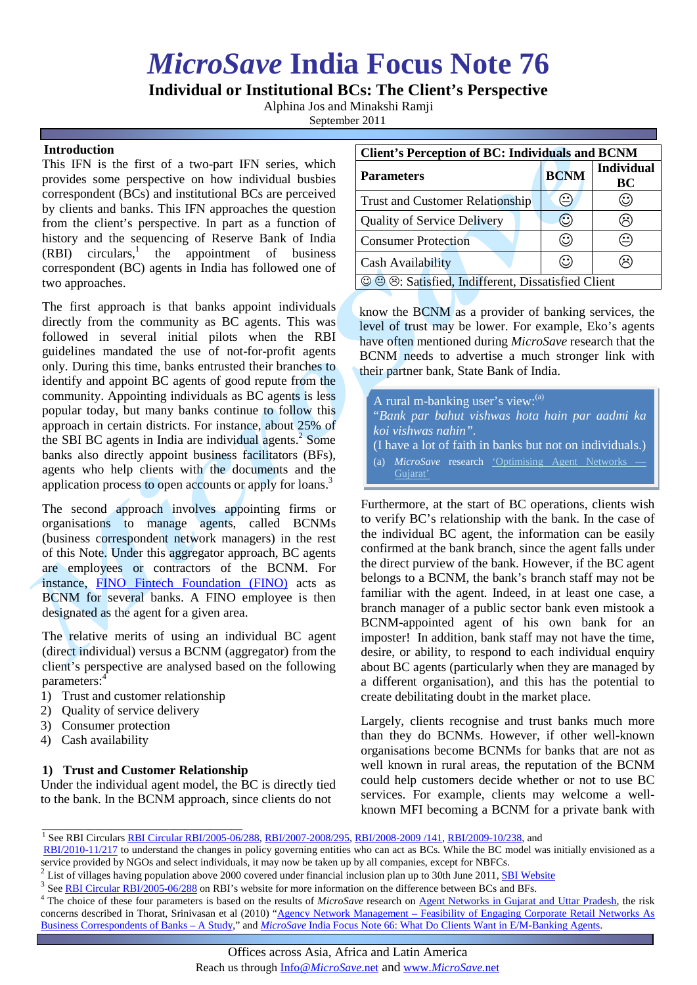# *MicroSave* **India Focus Note 76**

# **Individual or Institutional BCs: The Client's Perspective**

Alphina Jos and Minakshi Ramji

September 2011

# **Introduction**

This IFN is the first of a two-part IFN series, which provides some perspective on how individual busbies correspondent (BCs) and institutional BCs are perceived by clients and banks. This IFN approaches the question from the client's perspective. In part as a function of history and the sequencing of Reserve Bank of India (RBI) circulars, <sup>1</sup> the appointment of business correspondent (BC) agents in India has followed one of two approaches.

The first approach is that banks appoint individuals directly from the community as BC agents. This was followed in several initial pilots when the RBI guidelines mandated the use of not-for-profit agents only. During this time, banks entrusted their branches to identify and appoint BC agents of good repute from the community. Appointing individuals as BC agents is less popular today, but many banks continue to follow this approach in certain districts. For instance, about 25% of the SBI BC agents in India are individual agents.<sup>2</sup> Some banks also directly appoint business facilitators (BFs), agents who help clients with the documents and the application process to open accounts or apply for loans.<sup>3</sup>

The second approach involves appointing firms or organisations to manage agents, called BCNMs (business correspondent network managers) in the rest of this Note. Under this aggregator approach, BC agents are employees or contractors of the BCNM. For instance, [FINO Fintech Foundation \(FINO\)](http://fino.co.in/Business-Correspondents-Services) acts as BCNM for several banks. A FINO employee is then designated as the agent for a given area.

The relative merits of using an individual BC agent (direct individual) versus a BCNM (aggregator) from the client's perspective are analysed based on the following parameters: 4

- 1) Trust and customer relationship
- 2) Quality of service delivery
- 3) Consumer protection
- 4) Cash availability

# **1) Trust and Customer Relationship**

Under the individual agent model, the BC is directly tied to the bank. In the BCNM approach, since clients do not

| <b>Client's Perception of BC: Individuals and BCNM</b> |             |                                                      |
|--------------------------------------------------------|-------------|------------------------------------------------------|
| <b>Parameters</b>                                      | <b>BCNM</b> | <b>Individual</b><br><b>BC</b>                       |
| <b>Trust and Customer Relationship</b>                 |             | $\left(\!\!\left.\text{\small{C}}\right)\!\!\right)$ |
| <b>Quality of Service Delivery</b>                     | U.          | $\left(\ddot{\sim}\right)$                           |
| <b>Consumer Protection</b>                             | Э           | ≌                                                    |
| Cash Availability                                      | Э           | $\ddot{\sim}$                                        |
| © © ®: Satisfied, Indifferent, Dissatisfied Client     |             |                                                      |

know the BCNM as a provider of banking services, the level of trust may be lower. For example, Eko's agents have often mentioned during *MicroSave* research that the BCNM needs to advertise a much stronger link with their partner bank, State Bank of India.

| A rural m-banking user's view: (a)                            |  |  |
|---------------------------------------------------------------|--|--|
| "Bank par bahut vishwas hota hain par aadmi ka                |  |  |
| koi vishwas nahin".                                           |  |  |
| (I have a lot of faith in banks but not on individuals.)      |  |  |
| <i>MicroSave</i> research 'Optimising Agent Networks —<br>(a) |  |  |
| Guiarat'                                                      |  |  |

Furthermore, at the start of BC operations, clients wish to verify BC's relationship with the bank. In the case of the individual BC agent, the information can be easily confirmed at the bank branch, since the agent falls under the direct purview of the bank. However, if the BC agent belongs to a BCNM, the bank's branch staff may not be familiar with the agent. Indeed, in at least one case, a branch manager of a public sector bank even mistook a BCNM-appointed agent of his own bank for an imposter! In addition, bank staff may not have the time, desire, or ability, to respond to each individual enquiry about BC agents (particularly when they are managed by a different organisation), and this has the potential to create debilitating doubt in the market place.

Largely, clients recognise and trust banks much more than they do BCNMs. However, if other well-known organisations become BCNMs for banks that are not as well known in rural areas, the reputation of the BCNM could help customers decide whether or not to use BC services. For example, clients may welcome a wellknown MFI becoming a BCNM for a private bank with

- <sup>2</sup> List of villages having population above 2000 covered under financial inclusion plan up to 30th June 2011, **SBI Website**  $^3$  See [RBI Circular RBI/2005-06/288](http://www.rbi.org.in/Scripts/BS_CircularIndexDisplay.aspx?Id=2718) on RBI's website for more information on the difference be
- 
- <sup>4</sup> The choice of these four parameters is based on the results of *MicroSave* research on [Agent Networks in Gujarat and Uttar Pradesh,](http://microsave.org/research_paper/optimising-agent-networks) the risk concerns described in Thorat, Srinivasan et al (2010) "Agency Network Management – Feasibility of Engaging Corporate Retail Networks As [Business Correspondents of Banks –](http://www.ifmr.ac.in/cmf/uploads/BC%20Feasibility%20Study.pdf) A Study," and *MicroSave* India Focus Note [66: What Do Clients Want in E/M-Banking Agents.](http://www.microsave.org/sites/files/technicalBriefs/indiaFocusNotes/IFN_66_What_Do_Clients_Want_in_EM_Banking_Agents-PC.pdf)

\_\_\_\_\_\_\_\_\_\_\_\_\_\_\_\_\_\_\_\_\_\_\_\_\_\_\_\_\_\_\_\_\_\_\_\_\_\_ <sup>1</sup> See RBI Circulars [RBI Circular RBI/2005-06/288,](http://www.rbi.org.in/Scripts/BS_CircularIndexDisplay.aspx?Id=2718) [RBI/2007-2008/295,](http://rbidocs.rbi.org.in/rdocs/Notification/PDFs/84145.pdf) [RBI/2008-2009 /141,](http://rbidocs.rbi.org.in/rdocs/Notification/PDFs/86620.pdf) [RBI/2009-10/238,](http://rbidocs.rbi.org.in/rdocs/Notification/PDFs/IBC301109FV.pdf) and

[RBI/2010-11/217](http://www.rbi.org.in/scripts/BS_CircularIndexDisplay.aspx?Id=6017) to understand the changes in policy governing entities who can act as BCs. While the BC model was initially envisioned as a service provided by NGOs and select individuals, it may now be taken up by all com